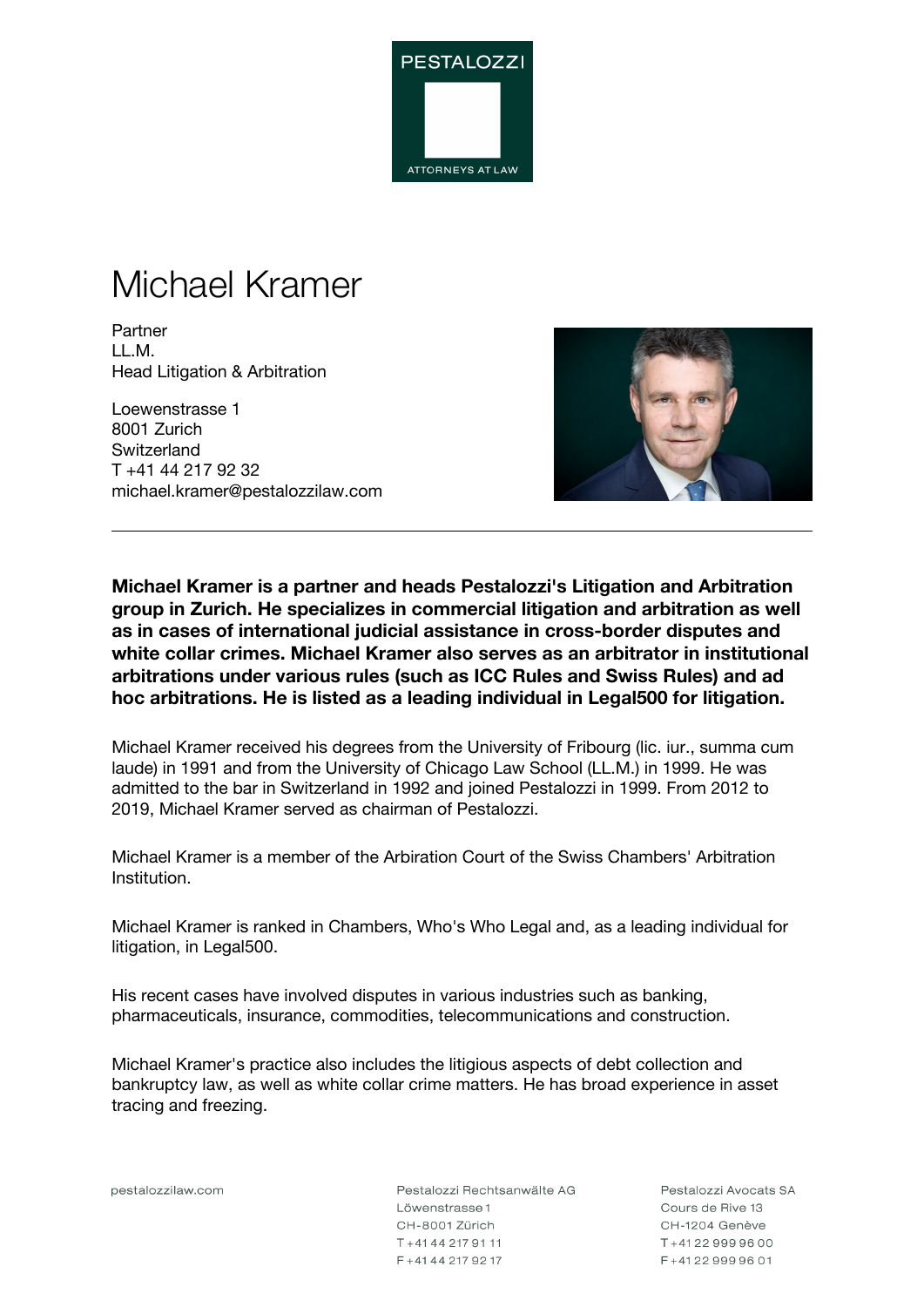

# Michael Kramer

Partner LL.M. Head Litigation & Arbitration

Loewenstrasse 1 8001 Zurich **Switzerland** T +41 44 217 92 32 michael.kramer@pestalozzilaw.com



**Michael Kramer is a partner and heads Pestalozzi's Litigation and Arbitration group in Zurich. He specializes in commercial litigation and arbitration as well as in cases of international judicial assistance in cross-border disputes and white collar crimes. Michael Kramer also serves as an arbitrator in institutional arbitrations under various rules (such as ICC Rules and Swiss Rules) and ad hoc arbitrations. He is listed as a leading individual in Legal500 for litigation.**

Michael Kramer received his degrees from the University of Fribourg (lic. iur., summa cum laude) in 1991 and from the University of Chicago Law School (LL.M.) in 1999. He was admitted to the bar in Switzerland in 1992 and joined Pestalozzi in 1999. From 2012 to 2019, Michael Kramer served as chairman of Pestalozzi.

Michael Kramer is a member of the Arbiration Court of the Swiss Chambers' Arbitration Institution.

Michael Kramer is ranked in Chambers, Who's Who Legal and, as a leading individual for litigation, in Legal500.

His recent cases have involved disputes in various industries such as banking, pharmaceuticals, insurance, commodities, telecommunications and construction.

Michael Kramer's practice also includes the litigious aspects of debt collection and bankruptcy law, as well as white collar crime matters. He has broad experience in asset tracing and freezing.

pestalozzilaw.com

Pestalozzi Rechtsanwälte AG Löwenstrasse 1 CH-8001 Zürich T+41442179111 F + 41 44 217 92 17

Pestalozzi Avocats SA Cours de Rive 13 CH-1204 Genève T+41229999600 F+41229999601